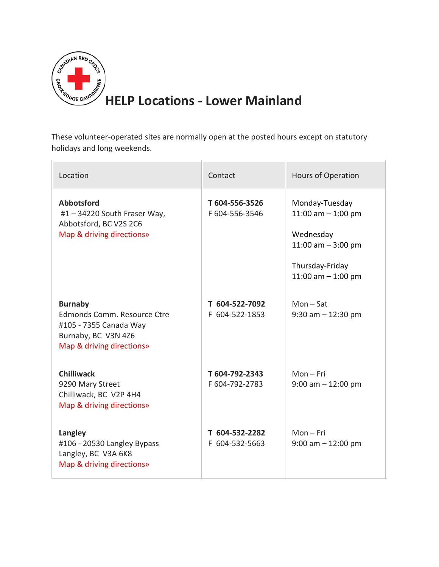

These volunteer-operated sites are normally open at the posted hours except on statutory holidays and long weekends.

| Location                                                                                                                    | Contact                          | <b>Hours of Operation</b>                                                                                              |
|-----------------------------------------------------------------------------------------------------------------------------|----------------------------------|------------------------------------------------------------------------------------------------------------------------|
| <b>Abbotsford</b><br>#1 - 34220 South Fraser Way,<br>Abbotsford, BC V2S 2C6<br>Map & driving directions»                    | T604-556-3526<br>F 604-556-3546  | Monday-Tuesday<br>11:00 am $-$ 1:00 pm<br>Wednesday<br>11:00 am $-$ 3:00 pm<br>Thursday-Friday<br>11:00 am $-$ 1:00 pm |
| <b>Burnaby</b><br>Edmonds Comm. Resource Ctre<br>#105 - 7355 Canada Way<br>Burnaby, BC V3N 4Z6<br>Map & driving directions» | T 604-522-7092<br>F 604-522-1853 | $Mon - Sat$<br>$9:30$ am $-12:30$ pm                                                                                   |
| <b>Chilliwack</b><br>9290 Mary Street<br>Chilliwack, BC V2P 4H4<br>Map & driving directions»                                | T 604-792-2343<br>F 604-792-2783 | $Mon-Fri$<br>$9:00$ am $-12:00$ pm                                                                                     |
| Langley<br>#106 - 20530 Langley Bypass<br>Langley, BC V3A 6K8<br>Map & driving directions»                                  | T 604-532-2282<br>F 604-532-5663 | $Mon-Fri$<br>$9:00$ am $-12:00$ pm                                                                                     |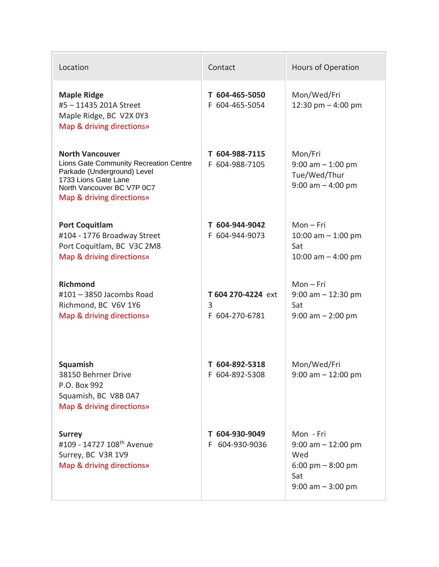| Location                                                                                                                                                                           | Contact                                   | <b>Hours of Operation</b>                                                                                       |
|------------------------------------------------------------------------------------------------------------------------------------------------------------------------------------|-------------------------------------------|-----------------------------------------------------------------------------------------------------------------|
| <b>Maple Ridge</b><br>#5-11435 201A Street<br>Maple Ridge, BC V2X 0Y3<br>Map & driving directions»                                                                                 | T 604-465-5050<br>F 604-465-5054          | Mon/Wed/Fri<br>12:30 pm $-$ 4:00 pm                                                                             |
| <b>North Vancouver</b><br>Lions Gate Community Recreation Centre<br>Parkade (Underground) Level<br>1733 Lions Gate Lane<br>North Vancouver BC V7P 0C7<br>Map & driving directions» | T 604-988-7115<br>F 604-988-7105          | Mon/Fri<br>$9:00$ am $-1:00$ pm<br>Tue/Wed/Thur<br>$9:00$ am $-4:00$ pm                                         |
| <b>Port Coquitlam</b><br>#104 - 1776 Broadway Street<br>Port Coquitlam, BC V3C 2M8<br>Map & driving directions»                                                                    | T 604-944-9042<br>F 604-944-9073          | $Mon-Fri$<br>10:00 am $-$ 1:00 pm<br>Sat<br>10:00 am $-$ 4:00 pm                                                |
| <b>Richmond</b><br>#101 - 3850 Jacombs Road<br>Richmond, BC V6V 1Y6<br>Map & driving directions»                                                                                   | T 604 270-4224 ext<br>3<br>F 604-270-6781 | $Mon-Fri$<br>$9:00$ am $-12:30$ pm<br>Sat<br>$9:00$ am $- 2:00$ pm                                              |
| Squamish<br>38150 Behrner Drive<br>P.O. Box 992<br>Squamish, BC V8B 0A7<br>Map & driving directions»                                                                               | T 604-892-5318<br>F 604-892-5308          | Mon/Wed/Fri<br>$9:00$ am $-12:00$ pm                                                                            |
| <b>Surrey</b><br>#109 - 14727 108 <sup>th</sup> Avenue<br>Surrey, BC V3R 1V9<br>Map & driving directions»                                                                          | T 604-930-9049<br>604-930-9036<br>F.      | Mon - Fri<br>$9:00$ am $-12:00$ pm<br>Wed<br>$6:00 \text{ pm} - 8:00 \text{ pm}$<br>Sat<br>$9:00$ am $-3:00$ pm |

 $\sim$